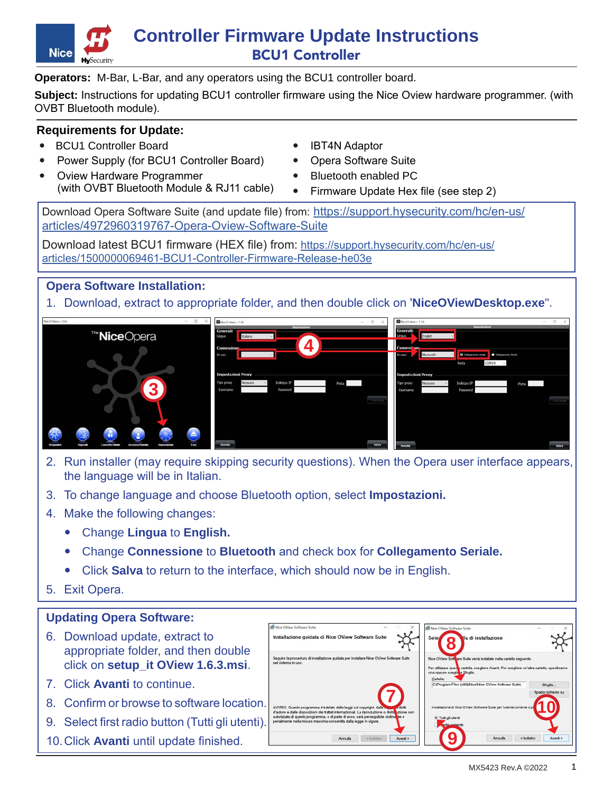

# **Controller Firmware Update Instructions** BCU1 Controller

**Operators:** M-Bar, L-Bar, and any operators using the BCU1 controller board.

**Subject:** Instructions for updating BCU1 controller firmware using the Nice Oview hardware programmer. (with OVBT Bluetooth module).

### **Requirements for Update:**

- BCU1 Controller Board
- ' Power Supply (for BCU1 Controller Board)
- ' Oview Hardware Programmer (with OVBT Bluetooth Module & RJ11 cable)
- ' IBT4N Adaptor
- ' Opera Software Suite
- ' Bluetooth enabled PC
- ' Firmware Update Hex file (see step 2)

Download Opera Software Suite (and update file) from: [https://support.hysecurity.com/hc/en-us/](https://support.hysecurity.com/hc/en-us/articles/4972960319767-Opera-Oview-Software-Suite) [articles/4972960319767-Opera-Oview-Software-Suite](https://support.hysecurity.com/hc/en-us/articles/4972960319767-Opera-Oview-Software-Suite)

Download latest BCU1 firmware (HEX file) from: [https://support.hysecurity.com/hc/en-us/](https://support.hysecurity.com/hc/en-us/articles/1500000069461-BCU1-Controller-Firmware-Release-he03) [articles/1500000069461-BCU1-Controller-Firmware-Release-he03e](https://support.hysecurity.com/hc/en-us/articles/1500000069461-BCU1-Controller-Firmware-Release-he03)

**Opera Software Installation:**

1. Download, extract to appropriate folder, and then double click on '**NiceOViewDesktop.exe**".



- 2. Run installer (may require skipping security questions). When the Opera user interface appears, the language will be in Italian.
- 3. To change language and choose Bluetooth option, select **Impostazioni.**
- 4. Make the following changes:
	- ' Change **Lingua** to **English.**
	- ' Change **Connessione** to **Bluetooth** and check box for **Collegamento Seriale.**
	- ' Click **Salva** to return to the interface, which should now be in English.
- 5. Exit Opera.

## **Updating Opera Software:**

- 6. Download update, extract to appropriate folder, and then double click on **setup\_it OView 1.6.3.msi**.
- 7. Click **Avanti** to continue.
- 8. Confirm or browse to software location.
- 9. Select first radio button (Tutti gli utenti).
- 10.Click **Avanti** until update finished.

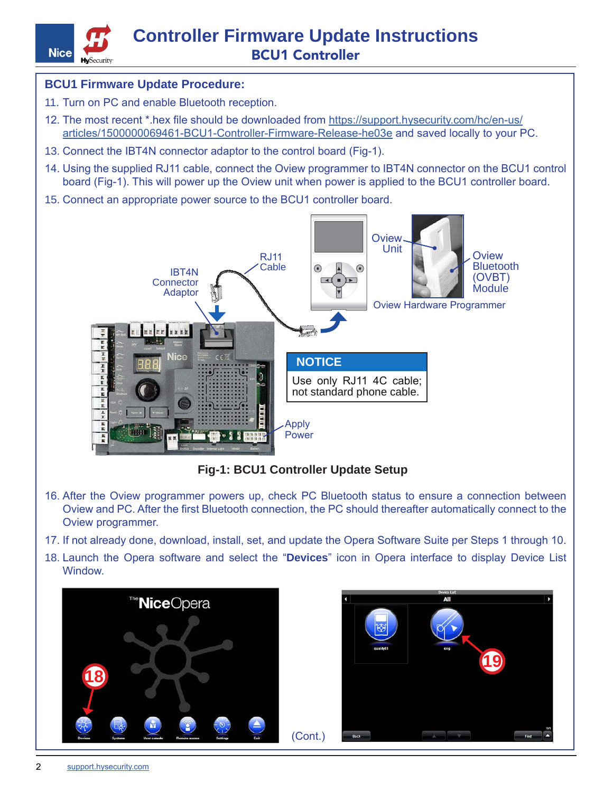

### **BCU1 Firmware Update Procedure:**

- 11. Turn on PC and enable Bluetooth reception.
- 12. The most recent \*.hex file should be downloaded from [https://support.hysecurity.com/hc/en-us/](https://support.hysecurity.com/hc/en-us/articles/1500000069461-BCU1-Controller-Firmware-Release-he03) [articles/1500000069461-BCU1-Controller-Firmware-Release-he03e](https://support.hysecurity.com/hc/en-us/articles/1500000069461-BCU1-Controller-Firmware-Release-he03) and saved locally to your PC.
- 13. Connect the IBT4N connector adaptor to the control board (Fig-1).
- 14. Using the supplied RJ11 cable, connect the Oview programmer to IBT4N connector on the BCU1 control board (Fig-1). This will power up the Oview unit when power is applied to the BCU1 controller board.
- 15. Connect an appropriate power source to the BCU1 controller board.



**Fig-1: BCU1 Controller Update Setup**

- 16. After the Oview programmer powers up, check PC Bluetooth status to ensure a connection between Oview and PC. After the first Bluetooth connection, the PC should thereafter automatically connect to the Oview programmer.
- 17. If not already done, download, install, set, and update the Opera Software Suite per Steps 1 through 10.
- 18. Launch the Opera software and select the "**Devices**" icon in Opera interface to display Device List **Window**